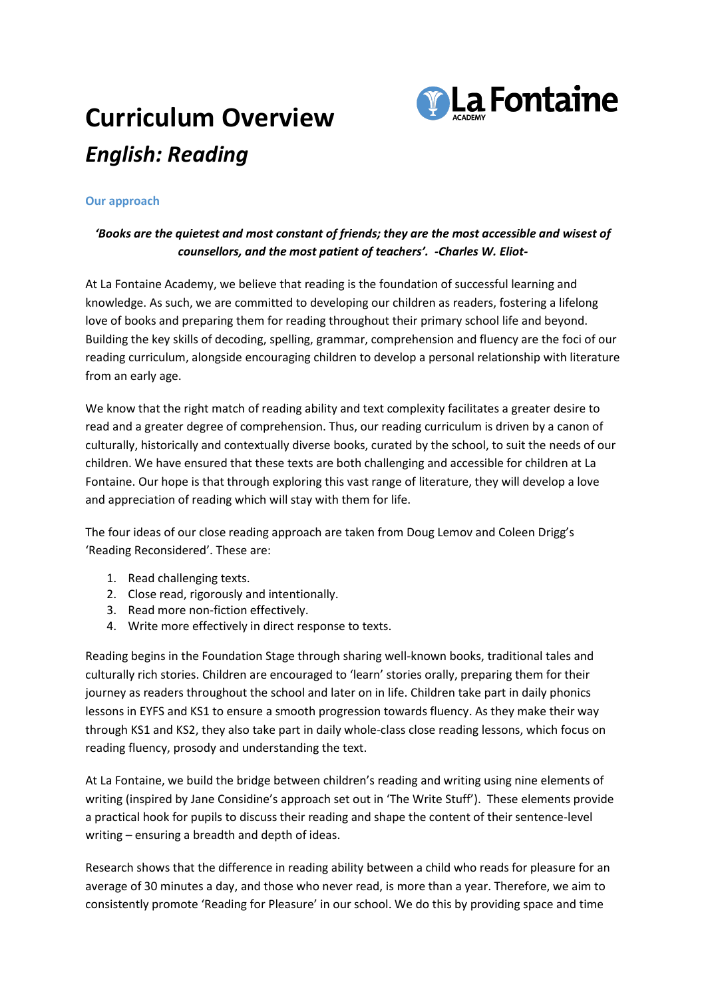## **Curriculum Overview** *English: Reading*



## **Our approach**

## *'Books are the quietest and most constant of friends; they are the most accessible and wisest of counsellors, and the most patient of teachers'. -Charles W. Eliot-*

At La Fontaine Academy, we believe that reading is the foundation of successful learning and knowledge. As such, we are committed to developing our children as readers, fostering a lifelong love of books and preparing them for reading throughout their primary school life and beyond. Building the key skills of decoding, spelling, grammar, comprehension and fluency are the foci of our reading curriculum, alongside encouraging children to develop a personal relationship with literature from an early age.

We know that the right match of reading ability and text complexity facilitates a greater desire to read and a greater degree of comprehension. Thus, our reading curriculum is driven by a canon of culturally, historically and contextually diverse books, curated by the school, to suit the needs of our children. We have ensured that these texts are both challenging and accessible for children at La Fontaine. Our hope is that through exploring this vast range of literature, they will develop a love and appreciation of reading which will stay with them for life.

The four ideas of our close reading approach are taken from Doug Lemov and Coleen Drigg's 'Reading Reconsidered'. These are:

- 1. Read challenging texts.
- 2. Close read, rigorously and intentionally.
- 3. Read more non-fiction effectively.
- 4. Write more effectively in direct response to texts.

Reading begins in the Foundation Stage through sharing well-known books, traditional tales and culturally rich stories. Children are encouraged to 'learn' stories orally, preparing them for their journey as readers throughout the school and later on in life. Children take part in daily phonics lessons in EYFS and KS1 to ensure a smooth progression towards fluency. As they make their way through KS1 and KS2, they also take part in daily whole-class close reading lessons, which focus on reading fluency, prosody and understanding the text.

At La Fontaine, we build the bridge between children's reading and writing using nine elements of writing (inspired by Jane Considine's approach set out in 'The Write Stuff'). These elements provide a practical hook for pupils to discuss their reading and shape the content of their sentence-level writing – ensuring a breadth and depth of ideas.

Research shows that the difference in reading ability between a child who reads for pleasure for an average of 30 minutes a day, and those who never read, is more than a year. Therefore, we aim to consistently promote 'Reading for Pleasure' in our school. We do this by providing space and time